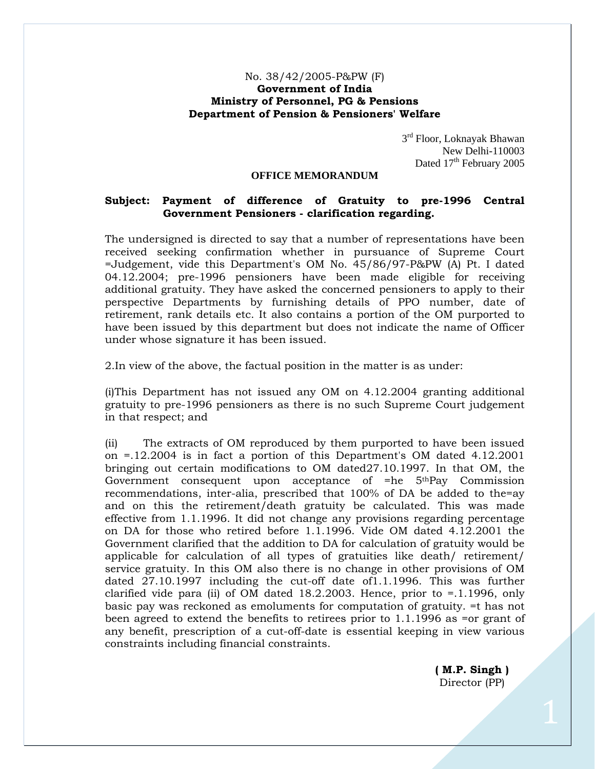## No. 38/42/2005-P&PW (F) **Government of India Ministry of Personnel, PG & Pensions Department of Pension & Pensioners' Welfare**

3rd Floor, Loknayak Bhawan New Delhi-110003 Dated 17<sup>th</sup> February 2005

## **OFFICE MEMORANDUM**

## **Subject: Payment of difference of Gratuity to pre-1996 Central Government Pensioners - clarification regarding.**

The undersigned is directed to say that a number of representations have been received seeking confirmation whether in pursuance of Supreme Court =Judgement, vide this Department's OM No. 45/86/97-P&PW (A) Pt. I dated 04.12.2004; pre-1996 pensioners have been made eligible for receiving additional gratuity. They have asked the concerned pensioners to apply to their perspective Departments by furnishing details of PPO number, date of retirement, rank details etc. It also contains a portion of the OM purported to have been issued by this department but does not indicate the name of Officer under whose signature it has been issued.

2.In view of the above, the factual position in the matter is as under:

(i)This Department has not issued any OM on 4.12.2004 granting additional gratuity to pre-1996 pensioners as there is no such Supreme Court judgement in that respect; and

(ii) The extracts of OM reproduced by them purported to have been issued on =.12.2004 is in fact a portion of this Department's OM dated 4.12.2001 bringing out certain modifications to OM dated27.10.1997. In that OM, the Government consequent upon acceptance of =he 5thPay Commission recommendations, inter-alia, prescribed that 100% of DA be added to the=ay and on this the retirement/death gratuity be calculated. This was made effective from 1.1.1996. It did not change any provisions regarding percentage on DA for those who retired before 1.1.1996. Vide OM dated 4.12.2001 the Government clarified that the addition to DA for calculation of gratuity would be applicable for calculation of all types of gratuities like death/ retirement/ service gratuity. In this OM also there is no change in other provisions of OM dated 27.10.1997 including the cut-off date of1.1.1996. This was further clarified vide para (ii) of OM dated  $18.2.2003$ . Hence, prior to =.1.1996, only basic pay was reckoned as emoluments for computation of gratuity. =t has not been agreed to extend the benefits to retirees prior to 1.1.1996 as =or grant of any benefit, prescription of a cut-off-date is essential keeping in view various constraints including financial constraints.

> **( M.P. Singh )**  Director (PP)